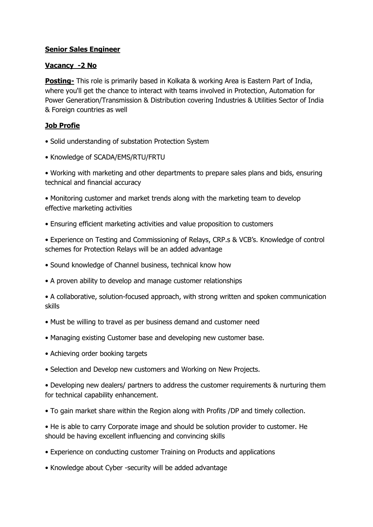## **Senior Sales Engineer**

## **Vacancy -2 No**

**Posting-** This role is primarily based in Kolkata & working Area is Eastern Part of India, where you'll get the chance to interact with teams involved in Protection, Automation for Power Generation/Transmission & Distribution covering Industries & Utilities Sector of India & Foreign countries as well

## **Job Profie**

- Solid understanding of substation Protection System
- Knowledge of SCADA/EMS/RTU/FRTU

• Working with marketing and other departments to prepare sales plans and bids, ensuring technical and financial accuracy

• Monitoring customer and market trends along with the marketing team to develop effective marketing activities

- Ensuring efficient marketing activities and value proposition to customers
- Experience on Testing and Commissioning of Relays, CRP.s & VCB's. Knowledge of control schemes for Protection Relays will be an added advantage
- Sound knowledge of Channel business, technical know how
- A proven ability to develop and manage customer relationships

• A collaborative, solution-focused approach, with strong written and spoken communication skills

- Must be willing to travel as per business demand and customer need
- Managing existing Customer base and developing new customer base.
- Achieving order booking targets
- Selection and Develop new customers and Working on New Projects.

• Developing new dealers/ partners to address the customer requirements & nurturing them for technical capability enhancement.

- To gain market share within the Region along with Profits /DP and timely collection.
- He is able to carry Corporate image and should be solution provider to customer. He should be having excellent influencing and convincing skills
- Experience on conducting customer Training on Products and applications
- Knowledge about Cyber -security will be added advantage